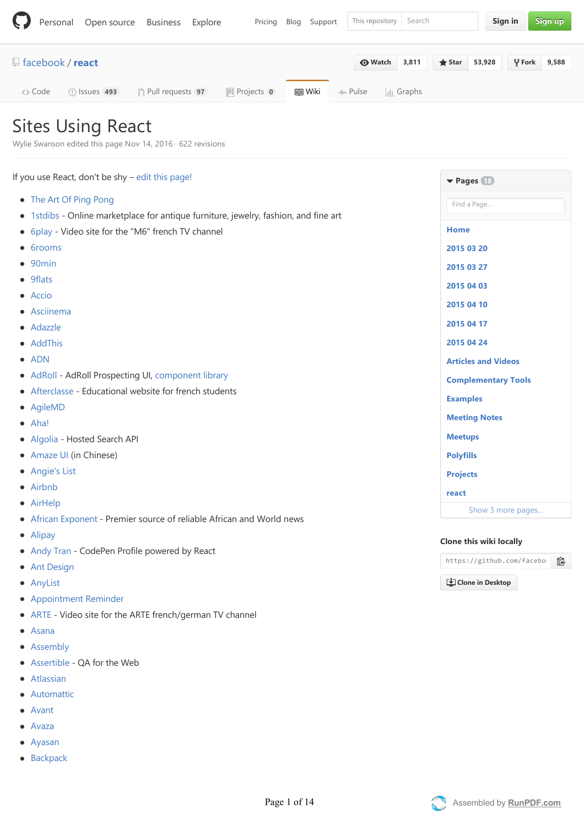|         |                         | Personal Open source Business |                             | Explore | Pricing               | Blog Support  | This repository | Search               |                 |        | Sign in |                 | Sign up |
|---------|-------------------------|-------------------------------|-----------------------------|---------|-----------------------|---------------|-----------------|----------------------|-----------------|--------|---------|-----------------|---------|
|         | $\Box$ facebook / react |                               |                             |         |                       |               | <b>O</b> Watch  | 3,811                | $\bigstar$ Star | 53,928 |         | $\sqrt{2}$ Fork | 9,588   |
| <> Code |                         | $\circ$ Issues 493            | <b>(1)</b> Pull requests 97 |         | <b>III</b> Projects 0 | <b>国 Wiki</b> | $\sim$ Pulse    | $\  \cdot \ $ Graphs |                 |        |         |                 |         |

## Sites Using React

Wylie Swanson edited this page Nov 14, 2016 · [622 revisions](https://github.com/facebook/react/wiki/Sites-Using-React/_history)

| If you use React, don't be shy - edit this page!                                     | $\blacktriangledown$ Pages $(18)$                  |  |  |  |  |  |
|--------------------------------------------------------------------------------------|----------------------------------------------------|--|--|--|--|--|
| • The Art Of Ping Pong                                                               | Find a Page                                        |  |  |  |  |  |
| • 1stdibs - Online marketplace for antique furniture, jewelry, fashion, and fine art |                                                    |  |  |  |  |  |
| • 6play - Video site for the "M6" french TV channel                                  | <b>Home</b>                                        |  |  |  |  |  |
| • 6rooms                                                                             | 2015 03 20                                         |  |  |  |  |  |
| 90 <sub>min</sub>                                                                    | 2015 03 27                                         |  |  |  |  |  |
| • 9flats                                                                             | 2015 04 03                                         |  |  |  |  |  |
| • Accio                                                                              | 2015 04 10                                         |  |  |  |  |  |
| • Asciinema                                                                          |                                                    |  |  |  |  |  |
| • Adazzle                                                                            | 2015 04 17                                         |  |  |  |  |  |
| • AddThis                                                                            | 2015 04 24                                         |  |  |  |  |  |
| $\bullet$ ADN                                                                        | <b>Articles and Videos</b>                         |  |  |  |  |  |
| • AdRoll - AdRoll Prospecting UI, component library                                  | <b>Complementary Tools</b>                         |  |  |  |  |  |
| • Afterclasse - Educational website for french students                              | <b>Examples</b>                                    |  |  |  |  |  |
| • AgileMD                                                                            |                                                    |  |  |  |  |  |
| $\bullet$ Aha!                                                                       | <b>Meeting Notes</b>                               |  |  |  |  |  |
| • Algolia - Hosted Search API                                                        | <b>Meetups</b>                                     |  |  |  |  |  |
| • Amaze UI (in Chinese)                                                              | <b>Polyfills</b>                                   |  |  |  |  |  |
| • Angie's List                                                                       | <b>Projects</b>                                    |  |  |  |  |  |
| • Airbnb                                                                             | react                                              |  |  |  |  |  |
| • AirHelp                                                                            | Show 3 more pages                                  |  |  |  |  |  |
| • African Exponent - Premier source of reliable African and World news               |                                                    |  |  |  |  |  |
| • Alipay                                                                             | Clone this wiki locally                            |  |  |  |  |  |
| • Andy Tran - CodePen Profile powered by React                                       | https://github.com/facebo<br>皀<br>Clone in Desktop |  |  |  |  |  |
| • Ant Design                                                                         |                                                    |  |  |  |  |  |
| • AnyList                                                                            |                                                    |  |  |  |  |  |
|                                                                                      |                                                    |  |  |  |  |  |

- **[Appointment Reminder](http://appointmentreminder.info)**
- [ARTE](https://www.arte.tv/guide/en/) Video site for the ARTE french/german TV channel
- [Asana](https://www.asana.com/)
- [Assembly](https://assembly.com/)
- [Assertible](https://assertible.com)  QA for the Web
- [Atlassian](https://www.atlassian.com/)
- [Automattic](http://ma.tt/2015/11/dance-to-calypso/)
- [Avant](https://www.avant.com/)
- [Avaza](https://www.avaza.com/)  $\bullet$
- [Ayasan](https://www.ayasan-app.com/)
- [Backpack](https://backpackbang.com/)



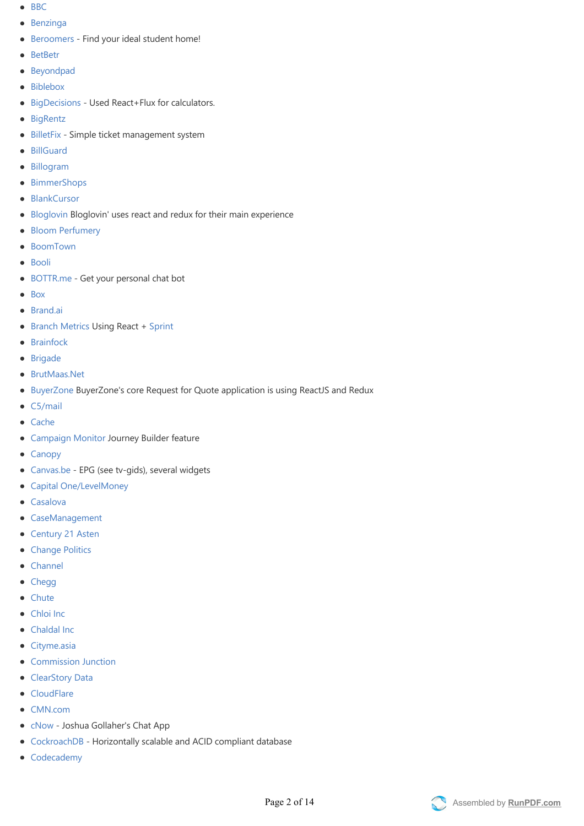- $-BBC$  $-BBC$
- [Benzinga](http://pro.benzinga.com)
- [Beroomers](https://www.beroomers.com) ‐ Find your ideal student home!
- [BetBetr](https://www.betbetr.com/)
- [Beyondpad](http://www.beyondpad.com/)
- [Biblebox](https://www.biblebox.com)
- [BigDecisions](http://www.bigdecisions.com)  Used React+Flux for calculators.
- [BigRentz](http://www.bigrentz.com/)
- [BilletFix](http://www.billetfix.dk) Simple ticket management system
- [BillGuard](http://www.billguard.com/)
- [Billogram](https://www.billogram.com)
- [BimmerShops](http://www.bimmershops.com)
- [BlankCursor](https://blankcursor.com/)
- [Bloglovin](https://www.bloglovin.com) Bloglovin' uses react and redux for their main experience
- [Bloom Perfumery](https://bloomperfume.co.uk/)  $\bullet$
- [BoomTown](http://www.boomtownroi.com/)
- [Booli](http://www.booli.se/)
- [BOTTR.me](http://bottr.me/) ‐ Get your personal chat bot  $\bullet$
- [Box](http://www.box.com/)
- [Brand.ai](https://brand.ai)
- [Branch Metrics](https://www.branch.io) Using React + [Sprint](https://github.com/BranchMetrics/sprint)
- [Brainfock](https://github.com/Brainfock/Brainfock)
- [Brigade](https://www.brigade.com/)
- [BrutMaas.Net](https://www.brutmaas.net/)
- [BuyerZone](http://www.buyerzone.com/) BuyerZone's core Request for Quote application is using ReactJS and Redux
- [C5/mail](https://www.c5mail.com/)
- [Cache](http://www.trycache.co/)
- [Campaign Monitor](http://www.campaignmonitor.com/) Journey Builder feature
- [Canopy](https://www.canopytax.com/)
- [Canvas.be](http://www.canvas.be/) EPG (see tv-gids), several widgets
- [Capital One/LevelMoney](https://www.levelmoney.com)
- [Casalova](https://www.casalova.ca/)
- [CaseManagement](http://cause-management.herokuapp.com/)
- [Century 21 Asten](http://www.astenonline.com/)
- [Change Politics](http://www.changepolitics.org/)
- [Channel](http://channel.io)
- [Chegg](http://www.chegg.com/)
- [Chute](http://www.getchute.com/)
- [Chloi Inc](http://chloi.io/)
- [Chaldal Inc](http://chaldal.com/)
- [Cityme.asia](http://www.cityme.asia/)
- [Commission Junction](http://www.cj.com/)  $\bullet$
- [ClearStory Data](http://www.clearstorydata.com)
- [CloudFlare](http://www.cloudflare.com/)
- [CMN.com](http://www.cmn.com/)
- [cNow](https://preview.c9users.io/joshuagollaher/angauthjoshua/app/index.html?_c9_id=livepreview1&_c9_host=https://ide.c9.io)  Joshua Gollaher's Chat App
- [CockroachDB](http://www.cockroachlabs.com/) Horizontally scalable and ACID compliant database
- [Codecademy](http://www.codecademy.com/)

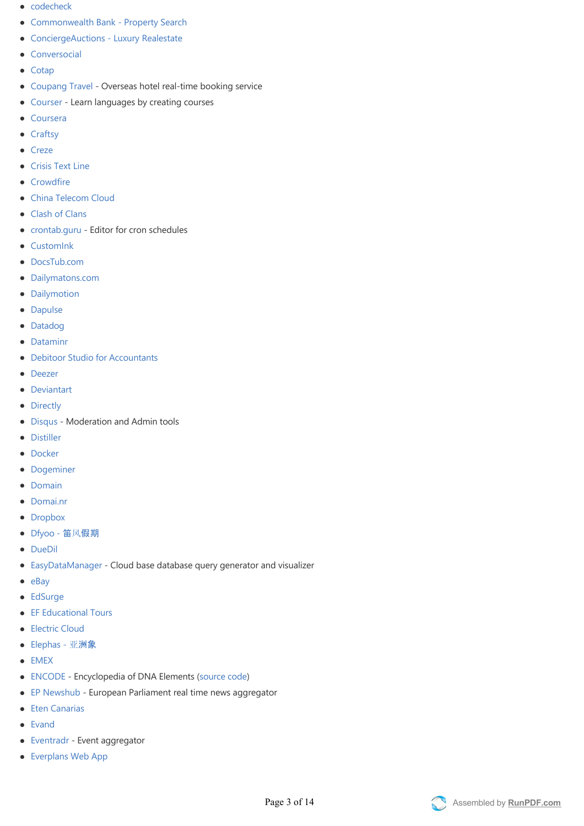- [codecheck](https://app.code-check.io/)
- Commonwealth Bank Property Search
- ConciergeAuctions Luxury Realestate
- **•** [Conversocial](http://www.conversocial.com/)
- [Cotap](https://www.cotap.com/)
- [Coupang Travel](http://travel.coupang.com/)  Overseas hotel real-time booking service
- [Courser](https://michielvaneerd.github.io/courser/index.html) Learn languages by creating courses
- [Coursera](https://www.coursera.org/)
- [Craftsy](http://www.craftsy.com/)
- [Creze](https://www.creze.com/)
- **•** [Crisis Text Line](http://www.crisistextline.org)
- [Crowdfire](https://www.crowdfireapp.com)
- [China Telecom Cloud](http://www.ctyun.cn/buy/cloud)
- [Clash of Clans](https://clashofclans.com)
- [crontab.guru](http://crontab.guru) Editor for cron schedules
- **•** [CustomInk](http://www.customink.com/)
- [DocsTub.com](https://www.docstub.com/)
- [Dailymatons.com](http://www.dailymatons.com/)
- [Dailymotion](http://www.dailymotion.com/)
- [Dapulse](http://www.dapulse.com/)
- [Datadog](http://www.datadog.com/)
- [Dataminr](http://dataminr.com)
- $\bullet$ [Debitoor Studio for Accountants](https://studio.debitoor.com/)
- [Deezer](http://deezer.com/)
- [Deviantart](http://deviantart.com/)
- [Directly](http://directly.com/)
- [Disqus](https://disqus.com/)  Moderation and Admin tools
- [Distiller](http://distiller.io/)
- **•** [Docker](http://hub.docker.com)
- [Dogeminer](https://dogeminer.se/)
- [Domain](http://www.domain.com.au/)
- [Domai.nr](https://domainr.com/)
- [Dropbox](https://www.dropbox.com/)
- Dfyoo 笛风假期
- [DueDil](https://www.duedil.com/)
- [EasyDataManager](http://www.easydatamanager.com/) ‐ Cloud base database query generator and visualizer
- $e$ Bay
- [EdSurge](https://www.edsurge.com/)
- **[EF Educational Tours](http://www.eftours.com/)**
- [Electric Cloud](http://electric-cloud.com/)
- Elephas 亚洲象
- [EMEX](https://energymarketexchange.com/)
- [ENCODE](https://www.encodeproject.org/)  Encyclopedia of DNA Elements (source code)
- [EP Newshub](http://www.epnewshub.eu/)  European Parliament real time news aggregator
- **•** [Eten Canarias](http://etenluxury.com/)
- [Evand](https://evand.ir/)
- [Eventradr](http://eventradr.com/) Event aggregator
- [Everplans Web App](https://webapps.everplans.com/#/auth/sign_in)

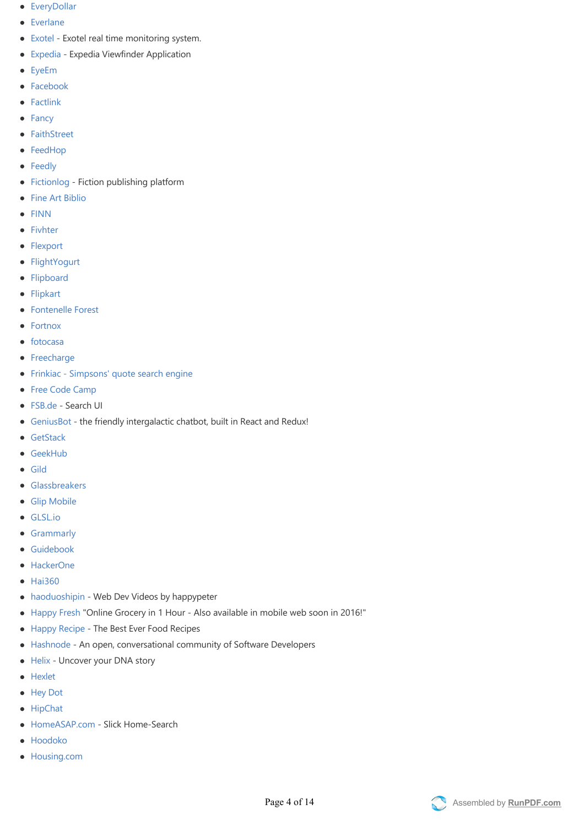- **•** [EveryDollar](http://everydollar.com/)
- **•** [Everlane](http://everlane.com/)
- [Exotel](http://exotel.in/) Exotel real time monitoring system.
- [Expedia](http://www.expedia.com/pictures/) ‐ Expedia Viewfinder Application  $\bullet$
- [EyeEm](https://www.eyeem.com/)
- [Facebook](https://facebook.com/)
- [Factlink](https://factlink.com/)
- [Fancy](https://fancy.com/)
- [FaithStreet](http://www.faithstreet.com)
- [FeedHop](http://feedhop.io/)
- [Feedly](http://feedly.com/)
- [Fictionlog](https://www.fictionlog.co/)  Fiction publishing platform
- [Fine Art Biblio](https://fineartbiblio.com)  $\bullet$
- [FINN](http://www.finn.no/)
- [Fivhter](https://www.fivhter.com/)
- [Flexport](https://www.flexport.com)
- [FlightYogurt](http://flightyogurt.haohcraft.com)
- [Flipboard](https://flipboard.com)
- [Flipkart](https://www.flipkart.com/)
- [Fontenelle Forest](http://www.fontenelleforest.org/)
- [Fortnox](https://www.fortnox.se/)
- $\bullet$  [fotocasa](http://www.fotocasa.es/)
- [Freecharge](https://www.freecharge.in/)
- [Frinkiac ‐ Simpsons' quote search engine](https://frinkiac.com/)  $\bullet$
- [Free Code Camp](http://www.freecodecamp.com)
- [FSB.de](http://www.fsb.de) ‐ Search UI
- [GeniusBot](http://www.geniusbot.io)  the friendly intergalactic chatbot, built in React and Redux!  $\bullet$
- **•** [GetStack](http://getstack.io/)
- [GeekHub](http://geekhub.ru/)
- [Gild](http://www.gild.com)
- **[Glassbreakers](https://www.glassbreakers.co)**
- **•** [Glip Mobile](https://glip.com/)
- [GLSL.io](https://glsl.io/)
- **•** [Grammarly](https://www.grammarly.com/)
- [Guidebook](http://guidebook.com/)
- [HackerOne](https://hackerone.com/)
- $\bullet$  [Hai360](http://h5.hai360.com/)
- [haoduoshipin](http://haoduoshipin.com/) ‐ Web Dev Videos by happypeter  $\bullet$
- [Happy Fresh](https://happyfresh.id/) "Online Grocery in 1 Hour Also available in mobile web soon in 2016!"
- [Happy Recipe](https://happyrecipe.com/) ‐ The Best Ever Food Recipes  $\bullet$
- [Hashnode](https://hashnode.com) An open, conversational community of Software Developers
- [Helix](https://www.helix.com) Uncover your DNA story
- [Hexlet](https://hexlet.io/)
- [Hey Dot](http://heydot.co)
- [HipChat](https://www.hipchat.com/)
- [HomeASAP.com](https://homeasap.com/search) Slick Home-Search
- [Hoodoko](http://hoodoko.com/)
- [Housing.com](https://housing.com)

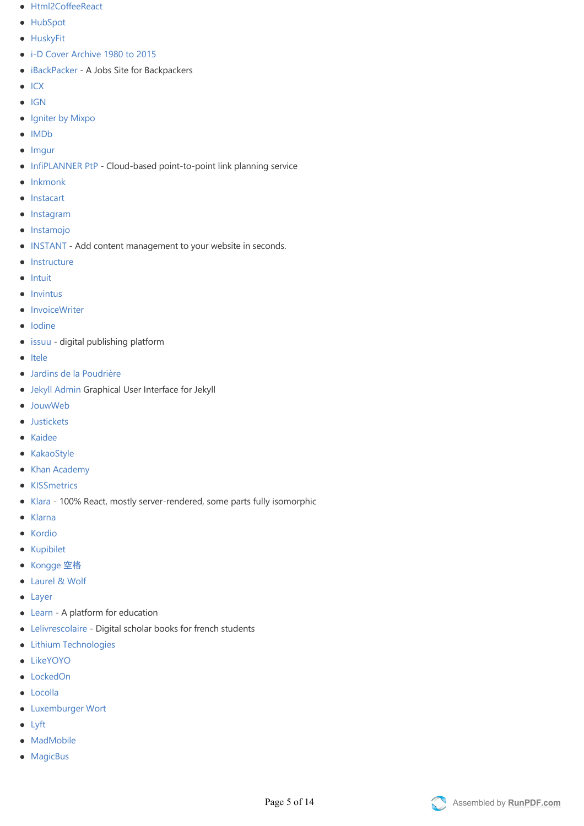- [Html2CoffeeReact](http://html2coffee-react.domachine.de)
- [HubSpot](https://www.hubspot.com/)
- **•** [HuskyFit](http://www.husky.fit/)
- i-D Cover Archive 1980 to 2015
- [iBackPacker](http://ibackpacker.com.au) ‐ A Jobs Site for Backpackers
- $\bullet$  [ICX](https://i.cx/)
- $\bullet$  [IGN](http://www.ign.com/)
- [Igniter by Mixpo](http://igniter.co)
- [IMDb](http://imdb.com)  $\bullet$  Imqur
- [InfiPLANNER PtP](https://infiplanner.infinetwireless.com)  Cloud-based point-to-point link planning service
- $\bullet$  [Inkmonk](https://inkmonk.com)
- [Instacart](https://www.instacart.com/)
- [Instagram](http://instagram.com/)
- [Instamojo](https://instamojo.com/)
- [INSTANT](https://instant.cm)  Add content management to your website in seconds.
- $\bullet$  [Instructure](http://instructure.com)
- $\bullet$  [Intuit](http://intuit.com)
- $\bullet$  [Invintus](http://invintus.com/)
- [InvoiceWriter](http://www.invoicewriter.net/)
- [Iodine](http://www.iodine.com/)
- [issuu](https://issuu.com/) digital publishing platform
- [Itele](http://www.itele.fr/)
- [Jardins de la Poudrière](http://jardins-poudriere.ch/)
- [Jekyll Admin](https://github.com/jekyll/jekyll-admin) Graphical User Interface for Jekyll
- [JouwWeb](http://www.jouwweb.nl)
- **•** [Justickets](https://justickets.in)
- [Kaidee](https://www.kaidee.com)
- [KakaoStyle](https://style.kakao.com)
- [Khan Academy](http://khanacademy.org)
- [KISSmetrics](http://www.kissmetrics.com)
- [Klara](http://www.klara.be)  100% React, mostly server-rendered, some parts fully isomorphic
- [Klarna](http://www.klarna.com)  $\bullet$
- [Kordio](https://www.kordio.com)
- [Kupibilet](https://www.kupibilet.ru/)
- [Kongge](http://www.kongge.com) 空格
- [Laurel & Wolf](https://www.laurelandwolf.com/)
- [Layer](https://layer.com/)
- [Learn](https://learn.co/) A platform for education
- [Lelivrescolaire](http://www.lelivrescolaire.fr/)  Digital scholar books for french students
- **•** [Lithium Technologies](http://www.lithium.com/)
- [LikeYOYO](https://likeyoyo.com)
- [LockedOn](http://www.lockedon.com/)
- [Locolla](http://www.locolla.com/)
- [Luxemburger Wort](http://www.wort.lu/)
- [Lyft](https://www.lyft.com/)
- [MadMobile](http://madmobile.com/)
- [MagicBus](http://m.magicbus.io/)

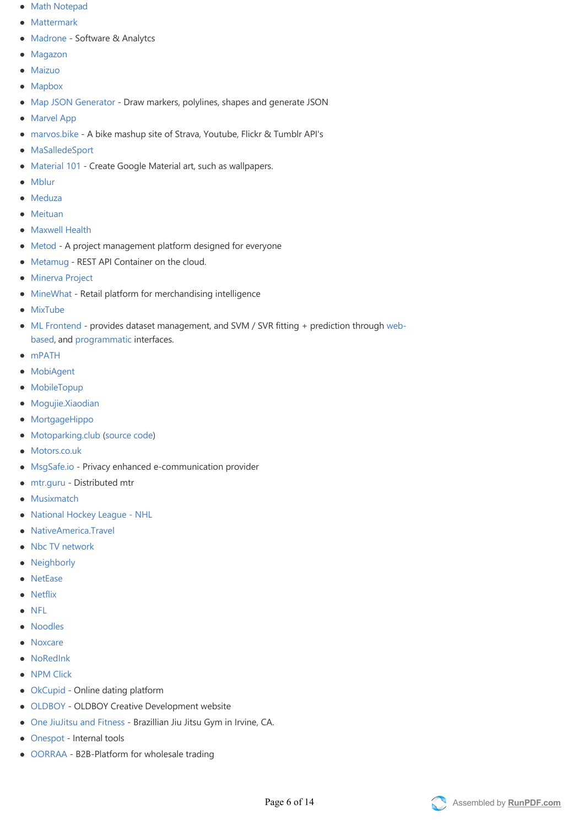- [Math Notepad](http://mathnotepad.com/)
- [Mattermark](http://mattermark.com/)
- [Madrone](http://madroneco.com/) ‐ Software & Analytcs
- [Magazon](http://magazon.net/)
- **•** [Maizuo](http://m.maizuo.com/)
- [Mapbox](https://www.mapbox.com/)
- [Map JSON Generator](http://lab.unshift.xyz/map-json-generator/) Draw markers, polylines, shapes and generate JSON
- [Marvel App](https://marvelapp.com/)
- [marvos.bike](https://marvos.bike) A bike mashup site of Strava, Youtube, Flickr & Tumblr API's
- [MaSalledeSport](http://www.masalledesport.com/)
- [Material 101](http://material101.com/)  Create Google Material art, such as wallpapers.
- [Mblur](http://mblur.com/)
- [Meduza](http://meduza.io)
- **•** [Meituan](http://www.meituan.com)
- [Maxwell Health](http://www.maxwellhealth.com)
- [Metod](https://www.metod.io)  A project management platform designed for everyone
- [Metamug](http://console.metamug.com) REST API Container on the cloud.
- **•** [Minerva Project](http://www.minervaproject.com)
- [MineWhat](http://www.minewhat.com) Retail platform for merchandising intelligence
- [MixTube](https://mixtube.co)
- [ML Fronten](https://github.com/jeff1evesque/machine-learning)d provides dataset management, and SVM / SVR fitting + prediction through webbased, and [programmatic](https://github.com/jeff1evesque/machine-learning#programmatic-interface) interfaces.
- [mPATH](http://mpath.com)
- [MobiAgent](https://agent.mobilus.me/web/login)
- [MobileTopup](https://mobiletopup.com/)
- [Mogujie.Xiaodian](http://www.xiaodian.com/pc/user/login)
- [MortgageHippo](https://www.mortgagehippo.com/)
- [Motoparking.club](http://www.motoparking.club) (source code)
- [Motors.co.uk](http://www.motors.co.uk)
- [MsgSafe.io](https://www.msgsafe.io)  Privacy enhanced e-communication provider
- [mtr.guru](http://mtr.guru)  Distributed mtr
- [Musixmatch](https://www.musixmatch.com)
- National Hockey League NHL
- [NativeAmerica.Travel](https://nativeamerica.travel)
- [Nbc TV network](http://www.nbc.com/)
- [Neighborly](http://neighborly.com/)
- [NetEase](http://www.163.com/)
- [Netflix](http://netflix.com/)
- [NFL](https://github.com/nfl?utf8=%E2%9C%93&query=react)
- [Noodles](https://www.getnoodl.es/)
- [Noxcare](https://noxcare.codemaster.by/)
- [NoRedInk](https://www.noredink.com/)
- [NPM Click](http://www.npm.click/)
- [OkCupid](http://www.okcupid.com/)  Online dating platform
- [OLDBOY](https://oldboycd.com/)  OLDBOY Creative Development website
- [One JiuJitsu and Fitness](http://www.onebjjfitness.com/) Brazillian Jiu Jitsu Gym in Irvine, CA.
- [Onespot](http://www.onespot.com/)  Internal tools
- [OORRAA](http://oorraa.com/)  B2B-Platform for wholesale trading

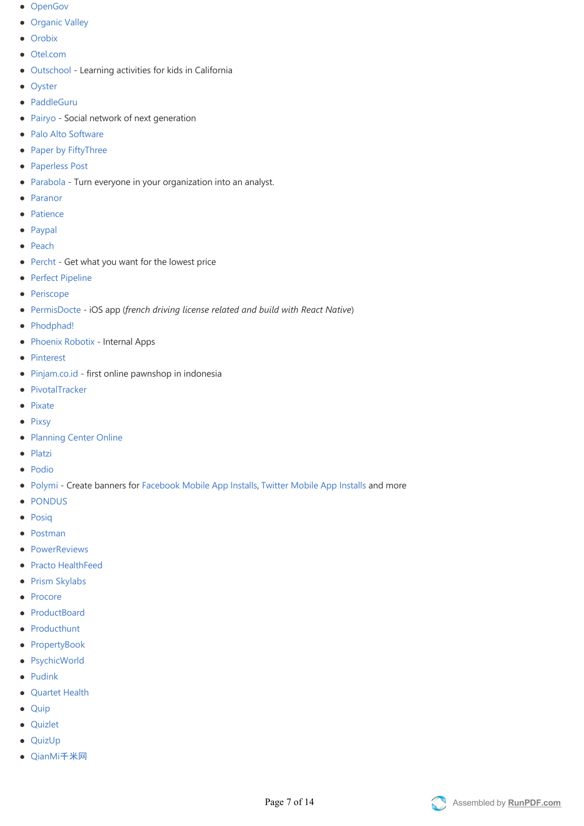- [OpenGov](http://opengov.com/)
- [Organic Valley](http://organicvalley.coop)
- **[Orobix](http://www.orobix.com)**
- [Otel.com](https://www.otel.ie)
- [Outschool](https://outschool.com) ‐ Learning activities for kids in California  $\bullet$
- [Oyster](https://review.oysterbooks.com)
- [PaddleGuru](https://paddleguru.com/)
- [Pairyo](http://pairyo.com/)  Social network of next generation
- [Palo Alto Software](https://paloalto.com/)
- [Paper by FiftyThree](https://paper.fiftythree.com)
- [Paperless Post](https://www.paperlesspost.com/)
- [Parabola](https://parabola.io)  Turn everyone in your organization into an analyst.
- [Paranor](http://www.paranor.ch)
- [Patience](http://www.patience.io/)
- [Paypal](https://www.paypal-engineering.com/2015/04/27/isomorphic-react-apps-with-react-engine/)  $\bullet$
- [Peach](https://joinpeach.com)
- [Percht](http://percht.com)  Get what you want for the lowest price  $\bullet$
- [Perfect Pipeline](http://www.perfectpipeline.com)
- [Periscope](https://www.periscope.tv/)
- [PermisDocte](http://mackentoch.github.io/PermisDocteWebsite)  iOS app (french driving license related and build with React Native)
- [Phodphad!](https://phodphad.com/)  $\bullet$
- [Phoenix Robotix](http://www.phoenixrobotix.com/) Internal Apps
- [Pinterest](http://www.pinterest.com/)
- [Pinjam.co.id](https://pinjam.co.id/) ‐ first online pawnshop in indonesia  $\bullet$
- [PivotalTracker](https://www.pivotaltracker.com/)  $\bullet$
- [Pixate](https://app.pixate.com/)
- [Pixsy](https://my.pixsy.com/)  $\bullet$
- [Planning Center Online](http://get.planningcenteronline.com/)
- $\bullet$ [Platzi](https://platzi.com/)
- [Podio](https://podio.com/)
- [Polymi](https://www.polymi.com) Create banners for [Facebook Mobile App Installs](https://www.polymi.com/#!/projects/558235fada90df12005870c0/creative-templates), [Twitter Mobile App Installs](https://www.polymi.com/#!/projects/558235f8da90df12005870bf/creative-templates) and more
- [PONDUS](http://pondus.de/en/homepage/)
- [Posiq](http://www.posiq.net/)
- [Postman](https://www.getpostman.com/)
- [PowerReviews](http://www.powerreviews.com/)  $\bullet$
- [Practo HealthFeed](https://www.practo.com/healthfeed)
- [Prism Skylabs](https://prism.com/)
- [Procore](https://procore.com/)
- [ProductBoard](http://www.productboard.com/)
- [Producthunt](http://www.producthunt.com/)
- [PropertyBook](https://propertybook.ro/)
- [PsychicWorld](https://www.psychicworld.com/)
- [Pudink](http://www.pudink.com/)
- [Quartet Health](http://www.quartethealth.com/)
- [Quip](https://quip.com/)
- [Quizlet](http://quizlet.com/)
- [QuizUp](https://quizup.com/en)
- [QianMi](http://www.qianmi.com)千米网

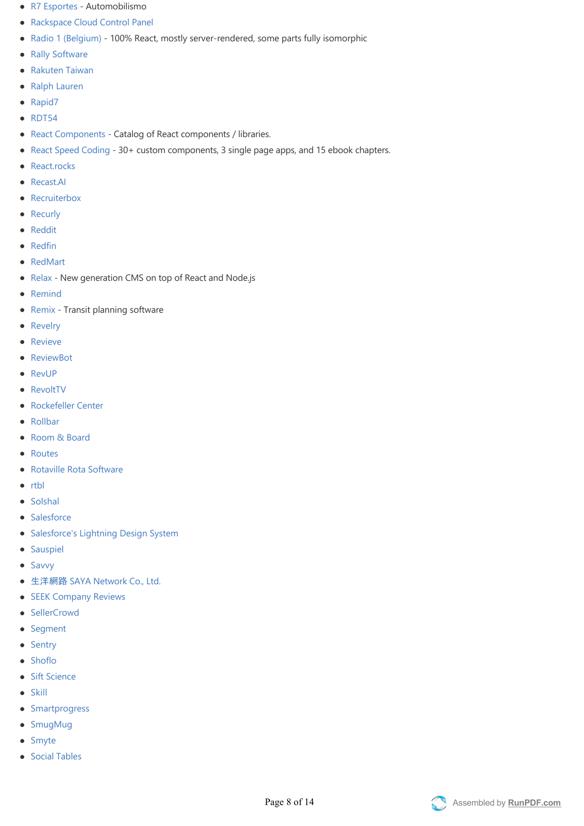- [R7 Esportes](http://esportes.r7.com/automobilismo/f1/2015/agenda) Automobilismo
- [Rackspace Cloud Control Panel](https://mycloud.rackspace.com/)
- Radio 1 (Belgium) 100% React, mostly server-rendered, some parts fully isomorphic
- [Rally Software](http://www.rallydev.com/)
- [Rakuten Taiwan](http://www.rakuten.com.tw/)
- [Ralph Lauren](http://m.ralphlauren.com/)
- [Rapid7](http://www.rapid7.com/)
- [RDT54](http://rdt54.ch/)
- [React Components](http://devarchy.com/react-components) ‐ Catalog of React components / libraries.  $\bullet$
- [React Speed Coding](https://reactspeed.com) 30+ custom components, 3 single page apps, and 15 ebook chapters.
- [React.rocks](http://react.rocks)  $\bullet$
- [Recast.AI](https://recast.ai)
- **[Recruiterbox](https://recruiterbox.com)**  $\bullet$
- [Recurly](http://recurly.com/)
- [Reddit](http://www.reddit.com/)
- [Redfin](https://www.redfin.com/)
- [RedMart](https://www.redmart.com/)
- [Relax](https://github.com/relax/relax)  New generation CMS on top of React and Node.js
- [Remind](https://www.remind.com/)
- [Remix](http://getremix.com/) ‐ Transit planning software  $\bullet$
- [Revelry](http://www.revelry.co/)
- [Revieve](https://www.revieve.com/)
- **[ReviewBot](https://reviewbot.io)**
- [RevUP](http://www.revup.io)
- [RevoltTV](http://beta.revolt.tv)
- [Rockefeller Center](http://rockefellercenter.com/)
- [Rollbar](http://rollbar.com)  $\bullet$
- [Room & Board](http://www.roomandboard.com/)
- [Routes](http://www.routes.guide/)
- [Rotaville Rota Software](https://rotaville.com/)
- $\bullet$  [rtbl](http://rtbl.co/)
- [Solshal](http://www.solshal.com)
- [Salesforce](https://www.youtube.com/watch?v=xSGuffp0o6E)
- [Salesforce's Lightning Design System](http://www.lightningdesignsystem.com/#role=regular&status=all)
- **•** [Sauspiel](https://www.sauspiel.de/)
- [Savvy](https://savvy.is)
- 生洋網路 [SAYA Network Co., Ltd.](https://www.rtb.com.tw)
- [SEEK Company Reviews](https://www.seek.com.au/companies/)
- [SellerCrowd](http://www.sellercrowd.com/)
- [Segment](http://segment.social)
- [Sentry](http://getsentry.com)
- [Shoflo](https://shoflo.tv)
- [Sift Science](https://siftscience.com/)
- [Skill](https://skill.gg/)
- [Smartprogress](https://smartprogress.do/)
- [SmugMug](http://www.smugmug.com/)
- [Smyte](https://www.smyte.com/)
- [Social Tables](https://www.socialtables.com/)

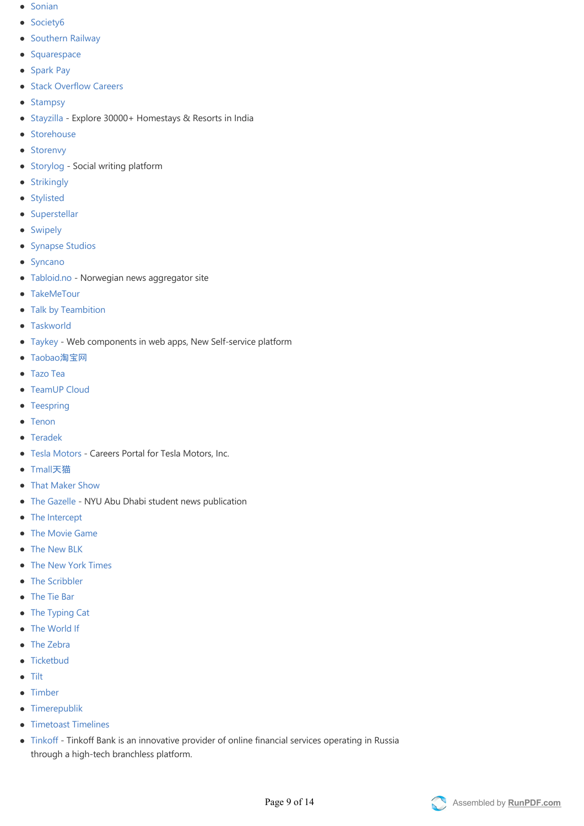- [Sonian](http://sonian.com/)
- [Society6](http://society6.com/)
- [Southern Railway](https://ticket.southernrailway.com)
- [Squarespace](http://www.squarespace.com/)
- [Spark Pay](https://www.sparkpay.com/sellonline)
- **[Stack Overflow Careers](http://business.stackoverflow.com/careers/us/platform/customer-support)**
- [Stampsy](http://stampsy.com/)
- [Stayzilla](https://www.stayzilla.com/?source=%22ghreact%22) ‐ Explore 30000+ Homestays & Resorts in India
- [Storehouse](https://www.storehouse.co/)
- [Storenvy](https://www.storenvy.com/)
- [Storylog](https://www.storylog.co/)  Social writing platform
- [Strikingly](https://www.strikingly.com/)
- [Stylisted](https://stylisted.com/)
- [Superstellar](https://superstellar.com/)
- [Swipely](https://www.swipely.com/)
- [Synapse Studios](https://www.synapsestudios.com/)
- [Syncano](http://www.syncano.com/)
- [Tabloid.no](http://tabloid.no/) Norwegian news aggregator site
- [TakeMeTour](https://www.takemetour.com/)
- [Talk by Teambition](https://talk.ai)
- **•** [Taskworld](http://www.taskworld.com)
- [Taykey](http://www.taykey.com/) Web components in web apps, New Self-service platform
- [Taobao](http://www.taobao.com/)淘宝网
- [Tazo Tea](http://www.tazo.com/)
- [TeamUP Cloud](https://cloud.tmup.com)
- [Teespring](https://www.teespring.com/)
- [Tenon](https://www.tenon.io)
- [Teradek](http://core.teradek.com)
- [Tesla Motors](https://www.teslamotors.com/careers/) Careers Portal for Tesla Motors, Inc.
- [Tmall](https://www.tmall.com/)天猫
- [That Maker Show](http://thatmakershow.com)
- [The Gazelle](https://www.thegazelle.org/) NYU Abu Dhabi student news publication
- [The Intercept](https://theintercept.com/)
- [The Movie Game](http://themoviega.me)
- [The New BLK](http://www.thenewblk.com/)
- [The New York Times](http://www.nytimes.com/)
- [The Scribbler](http://scribbler.co)  $\bullet$
- [The Tie Bar](https://www.thetiebar.com)
- [The Typing Cat](https://thetypingcat.com)
- [The World If](http://worldif.economist.com)
- [The Zebra](https://www.thezebra.com)
- [Ticketbud](https://www.ticketbud.com)
- [Tilt](https://www.tilt.com)
- [Timber](https://www.timber.io)
- [Timerepublik](https://www.timerepublik.com/)
- **•** [Timetoast Timelines](http://www.timetoast.com/)
- [Tinkoff](https://www.tinkoff.ru/) ‐ Tinkoff Bank is an innovative provider of online financial services operating in Russia through a high‐tech branchless platform.

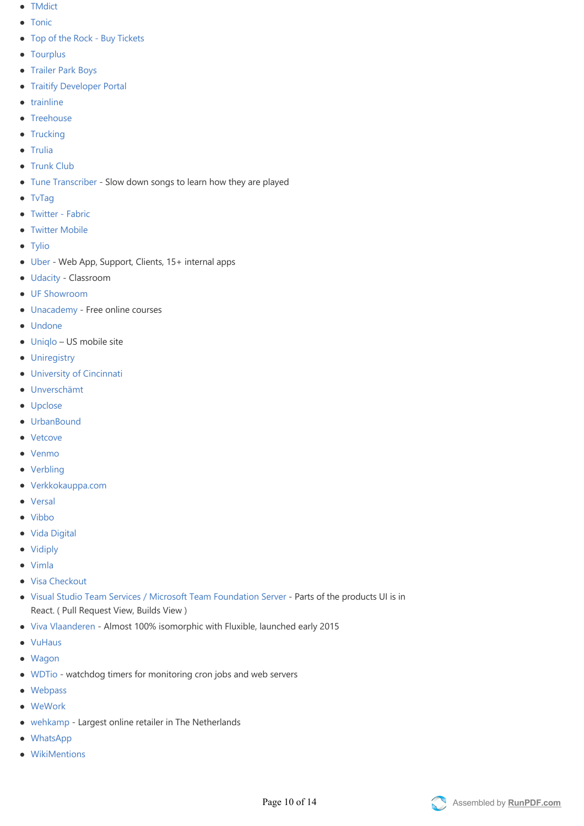- [TMdict](http://tmdict.com/en/)
- [Tonic](https://tonicdev.com)
- Top of the Rock Buy Tickets
- [Tourplus](https://www.tourplus.my/en/)
- [Trailer Park Boys](http://trailerparkboys.com/)
- **[Traitify Developer Portal](http://developer.traitify.com/)**
- [trainline](https://www.thetrainline.com/)
- [Treehouse](https://teamtreehouse.com)
- [Trucking](https://agency.trucking.kr)
- [Trulia](http://www.trulia.com/)
- [Trunk Club](https://www.trunkclub.com/)
- [Tune Transcriber](https://www.tunetranscriber.com) ‐ Slow down songs to learn how they are played
- [TvTag](http://tvtag.com/)
- Twitter Fabric
- **•** [Twitter Mobile](https://mobile.twitter.com/home)
- [Tylio](https://www.tylio.com/)
- [Uber](http://uber.com) Web App, Support, Clients, 15+ internal apps
- [Udacity](https://www.udacity.com)  Classroom
- [UF Showroom](http://ungforetagsamhet.se/showroom)
- [Unacademy](https://www.unacademy.in) Free online courses
- [Undone](https://www.undone.me)
- [Uniqlo](https://m.uniqlo.com/us/) US mobile site
- **•** [Uniregistry](http://uniregistry.com)
- [University of Cincinnati](http://www.uc.edu/catalyst)
- [Unverschämt](http://unverschaemt.net)
- [Upclose](https://upclose.me)
- [UrbanBound](http://www.urbanbound.com)
- [Vetcove](https://www.vetcove.com)
- [Venmo](https://venmo.com/)
- [Verbling](https://www.verbling.com/)
- [Verkkokauppa.com](https://m.verkkokauppa.com/)
- [Versal](https://versal.com/)
- [Vibbo](http://www.vibbo.com/)
- [Vida Digital](https://vidadigital.com.mx/)
- [Vidiply](https://app.vidiply.io/)
- [Vimla](https://vimla.se)
- [Visa Checkout](https://secure.checkout.visa.com)
- [Visual Studio Team Services / Microsoft Team Foundation Server](https://www.visualstudio.com/en-us/products/visual-studio-team-services-vs.aspx) ‐ Parts of the products UI is in React. (Pull Request View, Builds View)
- [Viva Vlaanderen](https://vivavlaanderen.radio2.be) ‐ Almost 100% isomorphic with Fluxible, launched early 2015
- [VuHaus](http://www.vuhaus.com/)
- [Wagon](http://www.wagonhq.com/)
- [WDTio](https://wdt.io/) ‐ watchdog timers for monitoring cron jobs and web servers
- [Webpass](http://www.webpass.net/)
- [WeWork](https://www.wework.com/)
- [wehkamp](http://www.wehkamp.com/)  Largest online retailer in The Netherlands
- [WhatsApp](https://web.whatsapp.com/)
- [WikiMentions](https://wikimentions.com/)

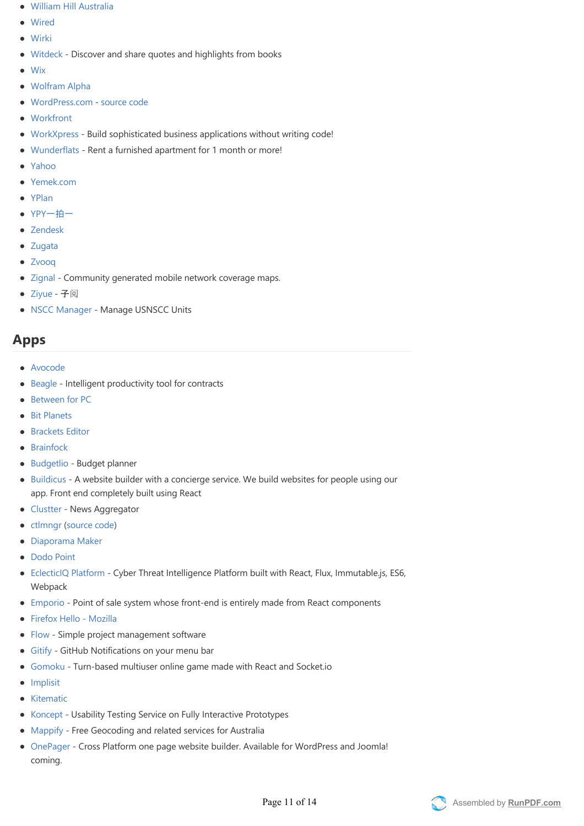- [William Hill Australia](https://williamhill.com.au)
- [Wired](http://www.wired.com)
- [Wirki](https://wirki.com)
- [Witdeck](http://witdeck.com) ‐ Discover and share quotes and highlights from books
- [Wix](http://www.wix.com/)
- [Wolfram Alpha](http://blog.wolfram.com/2016/01/19/announcing-wolfram-programming-lab/)
- [WordPress.com](https://wordpress.com) ‐ [source code](https://github.com/Automattic/wp-calypso)
- [Workfront](http://workfront.com/)
- [WorkXpress](http://www.workxpress.com) Build sophisticated business applications without writing code!
- [Wunderflats](http://wunderflats.com)  Rent a furnished apartment for 1 month or more!
- [Yahoo](https://www.yahoo.com/)
- [Yemek.com](http://yemek.com/)
- [YPlan](https://www.yplanapp.com/)
- YPY[一拍一](https://ypy.douban.com/)
- [Zendesk](http://www.zendesk.com/)
- [Zugata](https://app.zugata.com/)
- Zvoog
- [Zignal](http://zignal.co/) Community generated mobile network coverage maps.
- [Ziyue](http://ziyue.io/) 子阅
- [NSCC Manager](https://www.nsccmanager.com)  Manage USNSCC Units

## **[A](#apps)pps**

- [Avocode](http://avocode.com/)
- [Beagle](http://beagle.ai/) Intelligent productivity tool for contracts
- [Between for PC](http://between.us/pc/)
- [Bit Planets](https://www.youtube.com/watch?v=QoKzydJCPcs)
- **•** [Brackets Editor](https://brackets.io)
- [Brainfock](http://brainfock.org/)
- [Budgetlio](https://www.budgetlio.com/)  Budget planner
- [Buildicus](http://buildicus.com) A website builder with a concierge service. We build websites for people using our app. Front end completely built using React
- [Clustter](http://www.clustter.in)  News Aggregator
- [ctlmngr](https://ctlmngr.herokuapp.com/) ([source code](https://github.com/passy/ctlmngr))  $\bullet$
- [Diaporama Maker](https://github.com/gre/diaporama-maker)
- [Dodo Point](http://dodopoint.com)
- [EclecticIQ Platform](https://www.eclecticiq.com/platform.html)  Cyber Threat Intelligence Platform built with React, Flux, Immutable.js, ES6, **Webpack**
- [Emporio](http://pliosoft.com/emporio)  Point of sale system whose front-end is entirely made from React components
- Firefox Hello Mozilla
- [Flow](https://www.getflow.com)  Simple project management software
- [Gitify](http://www.gitify.io/)  GitHub Notifications on your menu bar
- [Gomoku](https://github.com/jeantimex/five-in-a-row) Turn-based multiuser online game made with React and Socket.io
- [Implisit](https://insights.implisit.com)
- [Kitematic](https://kitematic.com/)
- [Koncept](https://konceptapp.com)  Usability Testing Service on Fully Interactive Prototypes
- [Mappify](http://mappify.io/app) Free Geocoding and related services for Australia
- [OnePager](http://getonepager.com/) Cross Platform one page website builder. Available for WordPress and Joomla! coming.

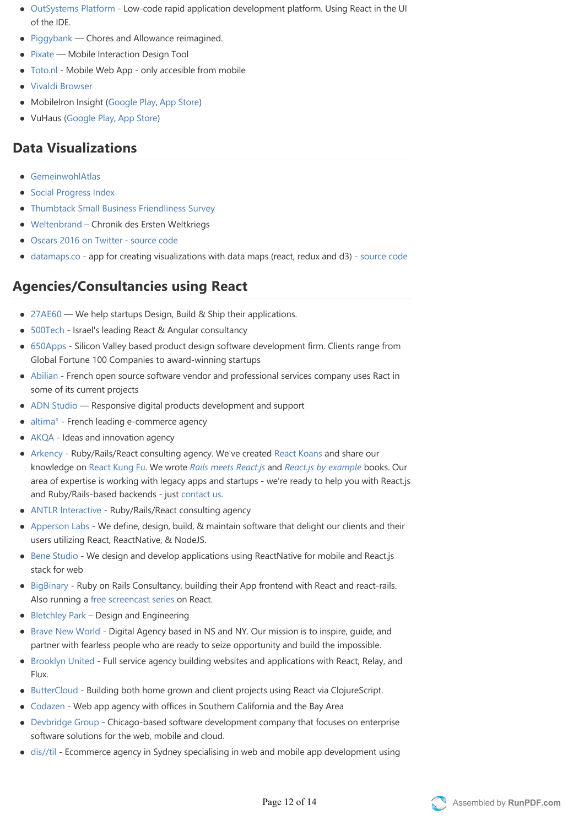- [OutSystems Platform](http://www.outsystems.com/) Low-code rapid application development platform. Using React in the UI of the IDE.
- [Piggybank](http://getpiggybank.com)  Chores and Allowance reimagined.
- [Pixate](http://www.pixate.com) Mobile Interaction Design Tool
- [Toto.nl](https://m.toto.nl) ‐ Mobile Web App ‐ only accesible from mobile
- [Vivaldi Browser](http://www.vivaldi.com)
- MobileIron Insight (Google Play, App Store)
- VuHaus ([Google Play](https://play.google.com/store/apps/details?id=com.vuhaus.mobile&hl=en), [App Store](https://itunes.apple.com/us/app/vuhaus-come-in.-see-the-music./id984534957?mt=8))

## **[D](#data-visualizations)ata Visualizations**

- [GemeinwohlAtlas](http://www.gemeinwohl.ch/atlas)
- **•** [Social Progress Index](http://www.socialprogressimperative.org/data/spi)
- [Thumbtack Small Business Friendliness Survey](http://www.thumbtack.com/survey)
- [Weltenbrand](http://www.nzz.ch/international/weltkrieg/weltenbrand-chronik-des-ersten-weltkriegs-1.18331813)  Chronik des Ersten Weltkriegs
- [Oscars 2016 on Twitter](https://oscarsdata.github.io/) ‐ [source code](https://github.com/ecesena/oscars2016/tree/master/www)
- [datamaps.co](http://datamaps.co/)  app for creating visualizations with data maps (react, redux and d3) - [source code](https://github.com/caspg/datamaps.co)

## **[A](#agenciesconsultancies-using-react)gencies/Consultancies using React**

- [27AE60](http://www.27ae60.com/)  We help startups Design, Build & Ship their applications.
- [500Tech](http://500tech.com)  Israel's leading React & Angular consultancy
- [650Apps](http://650apps.com) ‐ Silicon Valley based product design software development firm. Clients range from Global Fortune 100 Companies to award‐winning startups
- [Abilian](https://www.abilian.com/) French open source software vendor and professional services company uses Ract in some of its current projects
- [ADN Studio](https://adn.agency/) Responsive digital products development and support
- [altima°](http://www.altima-agency.com/)  French leading e-commerce agency
- [AKQA](https://www.akqa.com/) ‐ Ideas and innovation agency
- [Arkency](http://arkency.com)  Ruby/Rails/React consulting agency. We've created [React Koans](https://github.com/arkency/reactjs_koans) and share our knowledge on [React Kung Fu](http://reactkungfu.com). We wrote *[Rails meets React.js](http://blog.arkency.com/rails-react/)* and *[React.js by example](http://reactkungfu.com/react-by-example/)* books. Our area of expertise is working with legacy apps and startups ‐ we're ready to help you with React.js and Ruby/Rails‐based backends ‐ just [contact us](http://arkency.com).
- [ANTLR Interactive](http://www.antlr-interactive.com) Ruby/Rails/React consulting agency
- [Apperson Labs](http://www.appersonlabs.com) We define, design, build, & maintain software that delight our clients and their users utilizing React, ReactNative, & NodeJS.
- [Bene Studio](http://benestudio.co)  We design and develop applications using ReactNative for mobile and React. is stack for web
- [BigBinary](http://bigbinary.com)  Ruby on Rails Consultancy, building their App frontend with React and react-rails. Also running a [free screencast series](http://videos.bigbinary.com/categories/react) on React.
- [Bletchley Park](http://bletchley.co/)  Design and Engineering
- [Brave New World](http://bravenew.world/) Digital Agency based in NS and NY. Our mission is to inspire, guide, and partner with fearless people who are ready to seize opportunity and build the impossible.
- [Brooklyn United](http://brooklynunited.com) Full service agency building websites and applications with React, Relay, and Flux.
- [ButterCloud](http://buttercloud.com)  Building both home grown and client projects using React via ClojureScript.
- [Codazen](http://www.codazen.com) ‐ Web app agency with offices in Southern California and the Bay Area  $\bullet$
- [Devbridge Group](https://www.devbridge.com) Chicago-based software development company that focuses on enterprise software solutions for the web, mobile and cloud.
- [dis//til](http://distil.agency)  Ecommerce agency in Sydney specialising in web and mobile app development using

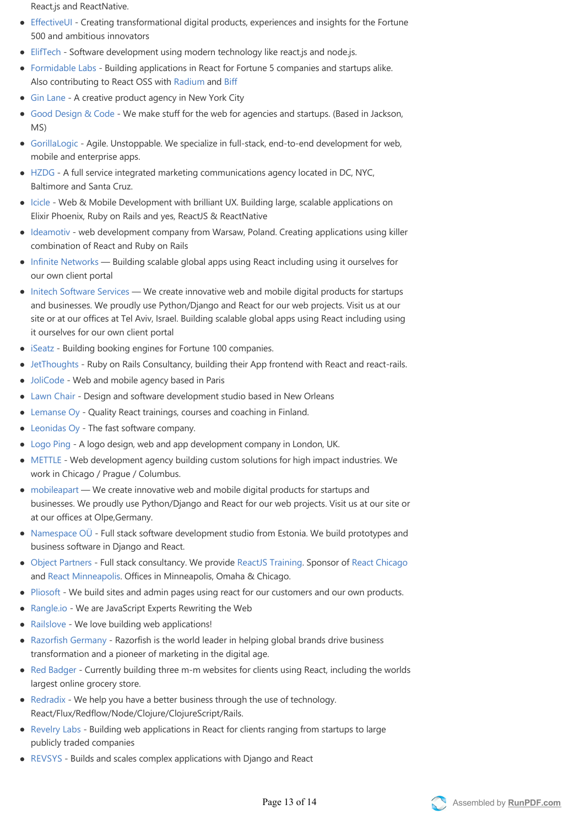React.js and ReactNative.

- [EffectiveUI](http://www.effectiveui.com) ‐ Creating transformational digital products, experiences and insights for the Fortune 500 and ambitious innovators
- [ElifTech](http://www.eliftech.com) Software development using modern technology like react.js and node.js.
- [Formidable Labs](http://formidablelabs.com) Building applications in React for Fortune 5 companies and startups alike. Also contributing to React OSS with [Radium](https://github.com/FormidableLabs/radium) and [Biff](https://github.com/FormidableLabs/biff)
- [Gin Lane](http://ginlane.com)  A creative product agency in New York City
- [Good Design & Code](http://builtbygood.co)  We make stuff for the web for agencies and startups. (Based in Jackson,  $MS$
- [GorillaLogic](https://gorillalogic.com/)  Agile. Unstoppable. We specialize in full-stack, end-to-end development for web, mobile and enterprise apps.
- [HZDG](http://www.hzdg.com/)  A full service integrated marketing communications agency located in DC, NYC, Baltimore and Santa Cruz.
- [Icicle](https://www.icicletech.com) Web & Mobile Development with brilliant UX. Building large, scalable applications on Elixir Phoenix, Ruby on Rails and yes, ReactJS & ReactNative
- [Ideamotiv](https://www.ideamotiv.com) web development company from Warsaw, Poland. Creating applications using killer combination of React and Ruby on Rails
- [Infinite Networks](https://www.infinite.net.au)  Building scalable global apps using React including using it ourselves for our own client portal
- [Initech Software Services](https://initech.co.il)  We create innovative web and mobile digital products for startups and businesses. We proudly use Python/Django and React for our web projects. Visit us at our site or at our offices at Tel Aviv, Israel. Building scalable global apps using React including using it ourselves for our own client portal
- [iSeatz](http://iseatz.com) Building booking engines for Fortune 100 companies.
- [JetThoughts](http://www.jetthoughts.com) Ruby on Rails Consultancy, building their App frontend with React and react-rails.
- [JoliCode](http://jolicode.com/)  Web and mobile agency based in Paris
- [Lawn Chair](http://lawnchair.io)  Design and software development studio based in New Orleans
- [Lemanse Oy](http://lemanse.fi) Quality React trainings, courses and coaching in Finland.
- [Leonidas Oy](https://leonidasoy.fi/) ‐ The fast software company.
- [Logo Ping](http://www.logoping.co.uk/) A logo design, web and app development company in London, UK.
- [METTLE](https://mettleup.com)  Web development agency building custom solutions for high impact industries. We work in Chicago / Prague / Columbus.
- [mobileapart](http://www.mobileapart.com) We create innovative web and mobile digital products for startups and businesses. We proudly use Python/Django and React for our web projects. Visit us at our site or at our offices at Olpe,Germany.
- [Namespace OÜ](http://namespace.ee) Full stack software development studio from Estonia. We build prototypes and business software in Django and React.
- [Object Partners](https://www.objectpartners.com)  Full stack consultancy. We provide [ReactJS Training.](https://objectpartners.com/training/reactjsworkshop) Sponsor of [React Chicago](http://www.meetup.com/React-Chicago) and [React Minneapolis.](http://www.meetup.com/React-Minneapolis-Meetup/) Offices in Minneapolis, Omaha & Chicago.
- [Pliosoft](http://www.pliosoft.com)  We build sites and admin pages using react for our customers and our own products.
- [Rangle.io](http://rangle.io) ‐ We are JavaScript Experts Rewriting the Web
- [Railslove](http://railslove.com) We love building web applications!
- [Razorfish Germany](https://www.razorfish.de/en)  Razorfish is the world leader in helping global brands drive business transformation and a pioneer of marketing in the digital age.
- [Red Badger](http://red-badger.com)  Currently building three m-m websites for clients using React, including the worlds largest online grocery store.
- [Redradix](http://redradix.com)  We help you have a better business through the use of technology. React/Flux/Redflow/Node/Clojure/ClojureScript/Rails.
- [Revelry Labs](http://revelry.co/)  Building web applications in React for clients ranging from startups to large publicly traded companies
- [REVSYS](http://www.revsys.com/) Builds and scales complex applications with Django and React